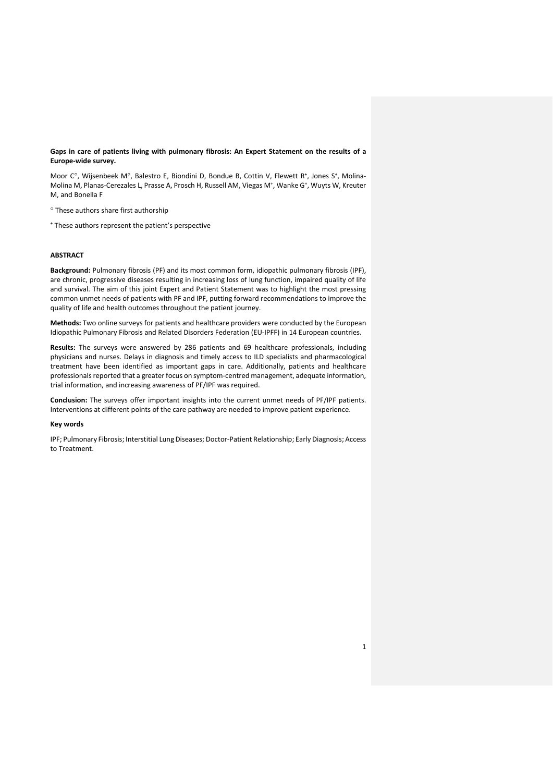**Gaps in care of patients living with pulmonary fibrosis: An Expert Statement on the results of a Europe-wide survey.** 

Moor C°, Wijsenbeek M°, Balestro E, Biondini D, Bondue B, Cottin V, Flewett R<sup>+</sup>, Jones S<sup>+</sup>, Molina-Molina M, Planas-Cerezales L, Prasse A, Prosch H, Russell AM, Viegas M<sup>+</sup>, Wanke G<sup>+</sup>, Wuyts W, Kreuter M, and Bonella F

These authors share first authorship

<sup>+</sup> These authors represent the patient's perspective

## **ABSTRACT**

**Background:** Pulmonary fibrosis (PF) and its most common form, idiopathic pulmonary fibrosis (IPF), are chronic, progressive diseases resulting in increasing loss of lung function, impaired quality of life and survival. The aim of this joint Expert and Patient Statement was to highlight the most pressing common unmet needs of patients with PF and IPF, putting forward recommendations to improve the quality of life and health outcomes throughout the patient journey.

**Methods:** Two online surveys for patients and healthcare providers were conducted by the European Idiopathic Pulmonary Fibrosis and Related Disorders Federation (EU-IPFF) in 14 European countries.

**Results:** The surveys were answered by 286 patients and 69 healthcare professionals, including physicians and nurses. Delays in diagnosis and timely access to ILD specialists and pharmacological treatment have been identified as important gaps in care. Additionally, patients and healthcare professionals reported that a greater focus on symptom-centred management, adequate information, trial information, and increasing awareness of PF/IPF was required.

**Conclusion:** The surveys offer important insights into the current unmet needs of PF/IPF patients. Interventions at different points of the care pathway are needed to improve patient experience.

## **Key words**

IPF; Pulmonary Fibrosis; Interstitial Lung Diseases; Doctor-Patient Relationship; Early Diagnosis; Access to Treatment.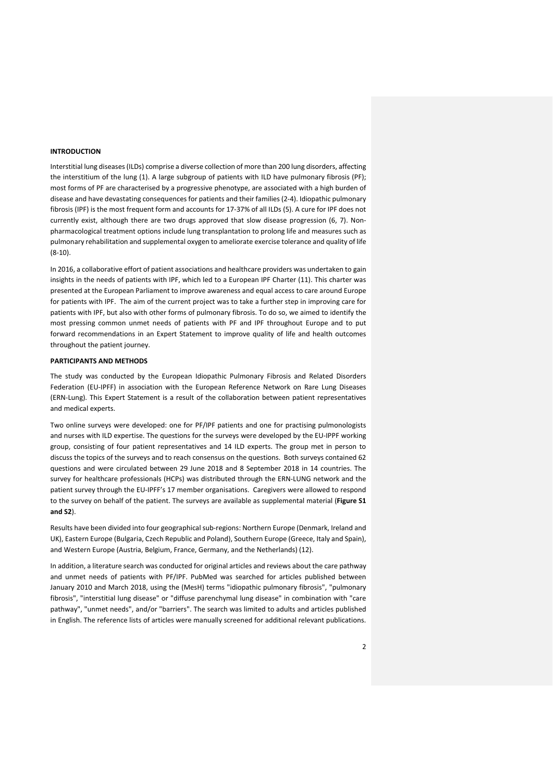## **INTRODUCTION**

Interstitial lung diseases (ILDs) comprise a diverse collection of more than 200 lung disorders, affecting the interstitium of the lung (1). A large subgroup of patients with ILD have pulmonary fibrosis (PF); most forms of PF are characterised by a progressive phenotype, are associated with a high burden of disease and have devastating consequences for patients and their families(2-4). Idiopathic pulmonary fibrosis (IPF) is the most frequent form and accounts for 17-37% of all ILDs (5). A cure for IPF does not currently exist, although there are two drugs approved that slow disease progression (6, 7). Nonpharmacological treatment options include lung transplantation to prolong life and measures such as pulmonary rehabilitation and supplemental oxygen to ameliorate exercise tolerance and quality of life (8-10).

In 2016, a collaborative effort of patient associations and healthcare providers was undertaken to gain insights in the needs of patients with IPF, which led to a European IPF Charter (11). This charter was presented at the European Parliament to improve awareness and equal access to care around Europe for patients with IPF. The aim of the current project was to take a further step in improving care for patients with IPF, but also with other forms of pulmonary fibrosis. To do so, we aimed to identify the most pressing common unmet needs of patients with PF and IPF throughout Europe and to put forward recommendations in an Expert Statement to improve quality of life and health outcomes throughout the patient journey.

# **PARTICIPANTS AND METHODS**

The study was conducted by the European Idiopathic Pulmonary Fibrosis and Related Disorders Federation (EU-IPFF) in association with the European Reference Network on Rare Lung Diseases (ERN-Lung). This Expert Statement is a result of the collaboration between patient representatives and medical experts.

Two online surveys were developed: one for PF/IPF patients and one for practising pulmonologists and nurses with ILD expertise. The questions for the surveys were developed by the EU-IPPF working group, consisting of four patient representatives and 14 ILD experts. The group met in person to discuss the topics of the surveys and to reach consensus on the questions. Both surveys contained 62 questions and were circulated between 29 June 2018 and 8 September 2018 in 14 countries. The survey for healthcare professionals (HCPs) was distributed through the ERN-LUNG network and the patient survey through the EU-IPFF's 17 member organisations. Caregivers were allowed to respond to the survey on behalf of the patient. The surveys are available as supplemental material (**Figure S1 and S2**).

Results have been divided into four geographical sub-regions: Northern Europe (Denmark, Ireland and UK), Eastern Europe (Bulgaria, Czech Republic and Poland), Southern Europe (Greece, Italy and Spain), and Western Europe (Austria, Belgium, France, Germany, and the Netherlands) (12).

In addition, a literature search was conducted for original articles and reviews about the care pathway and unmet needs of patients with PF/IPF. PubMed was searched for articles published between January 2010 and March 2018, using the (MesH) terms "idiopathic pulmonary fibrosis", "pulmonary fibrosis", "interstitial lung disease" or "diffuse parenchymal lung disease" in combination with "care pathway", "unmet needs", and/or "barriers". The search was limited to adults and articles published in English. The reference lists of articles were manually screened for additional relevant publications.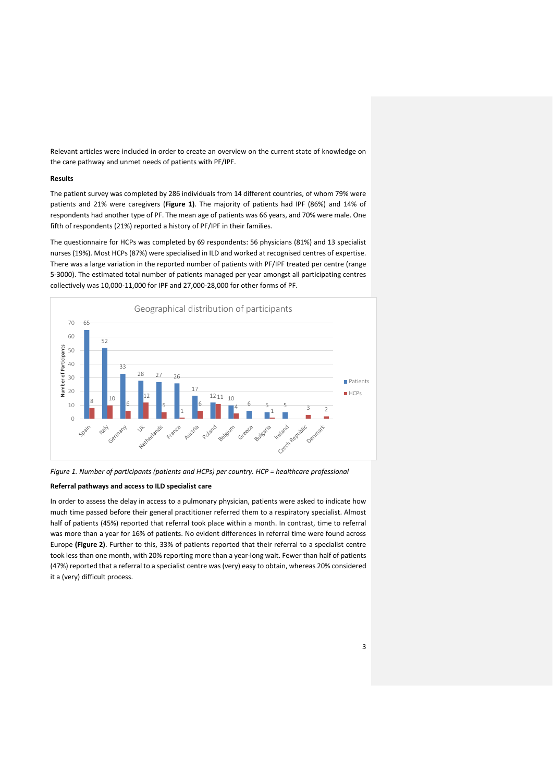Relevant articles were included in order to create an overview on the current state of knowledge on the care pathway and unmet needs of patients with PF/IPF.

## **Results**

The patient survey was completed by 286 individuals from 14 different countries, of whom 79% were patients and 21% were caregivers (**Figure 1)**. The majority of patients had IPF (86%) and 14% of respondents had another type of PF. The mean age of patients was 66 years, and 70% were male. One fifth of respondents (21%) reported a history of PF/IPF in their families.

The questionnaire for HCPs was completed by 69 respondents: 56 physicians (81%) and 13 specialist nurses (19%). Most HCPs (87%) were specialised in ILD and worked at recognised centres of expertise. There was a large variation in the reported number of patients with PF/IPF treated per centre (range 5-3000). The estimated total number of patients managed per year amongst all participating centres collectively was 10,000-11,000 for IPF and 27,000-28,000 for other forms of PF.



*Figure 1. Number of participants (patients and HCPs) per country. HCP = healthcare professional*

## **Referral pathways and access to ILD specialist care**

In order to assess the delay in access to a pulmonary physician, patients were asked to indicate how much time passed before their general practitioner referred them to a respiratory specialist. Almost half of patients (45%) reported that referral took place within a month. In contrast, time to referral was more than a year for 16% of patients. No evident differences in referral time were found across Europe **(Figure 2)**. Further to this, 33% of patients reported that their referral to a specialist centre took less than one month, with 20% reporting more than a year-long wait. Fewer than half of patients (47%) reported that a referral to a specialist centre was (very) easy to obtain, whereas 20% considered it a (very) difficult process.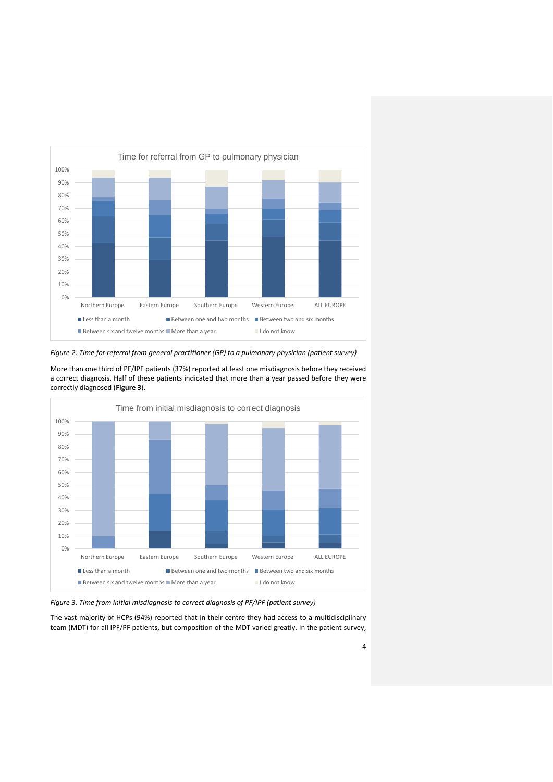

*Figure 2. Time for referral from general practitioner (GP) to a pulmonary physician (patient survey)*

More than one third of PF/IPF patients (37%) reported at least one misdiagnosis before they received a correct diagnosis. Half of these patients indicated that more than a year passed before they were correctly diagnosed (**Figure 3**).



*Figure 3. Time from initial misdiagnosis to correct diagnosis of PF/IPF (patient survey)*

The vast majority of HCPs (94%) reported that in their centre they had access to a multidisciplinary team (MDT) for all IPF/PF patients, but composition of the MDT varied greatly. In the patient survey,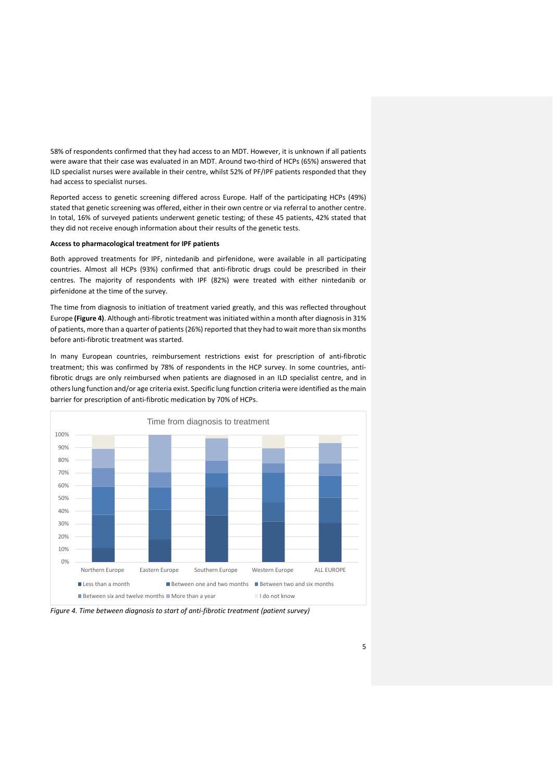58% of respondents confirmed that they had access to an MDT. However, it is unknown if all patients were aware that their case was evaluated in an MDT. Around two-third of HCPs (65%) answered that ILD specialist nurses were available in their centre, whilst 52% of PF/IPF patients responded that they had access to specialist nurses.

Reported access to genetic screening differed across Europe. Half of the participating HCPs (49%) stated that genetic screening was offered, either in their own centre or via referral to another centre. In total, 16% of surveyed patients underwent genetic testing; of these 45 patients, 42% stated that they did not receive enough information about their results of the genetic tests.

#### **Access to pharmacological treatment for IPF patients**

Both approved treatments for IPF, nintedanib and pirfenidone, were available in all participating countries. Almost all HCPs (93%) confirmed that anti-fibrotic drugs could be prescribed in their centres. The majority of respondents with IPF (82%) were treated with either nintedanib or pirfenidone at the time of the survey.

The time from diagnosis to initiation of treatment varied greatly, and this was reflected throughout Europe **(Figure 4)**. Although anti-fibrotic treatment was initiated within a month after diagnosis in 31% of patients, more than a quarter of patients (26%) reported that they had to wait more than six months before anti-fibrotic treatment was started.

In many European countries, reimbursement restrictions exist for prescription of anti-fibrotic treatment; this was confirmed by 78% of respondents in the HCP survey. In some countries, antifibrotic drugs are only reimbursed when patients are diagnosed in an ILD specialist centre, and in otherslung function and/or age criteria exist. Specific lung function criteria were identified as the main barrier for prescription of anti-fibrotic medication by 70% of HCPs.



*Figure 4. Time between diagnosis to start of anti-fibrotic treatment (patient survey)*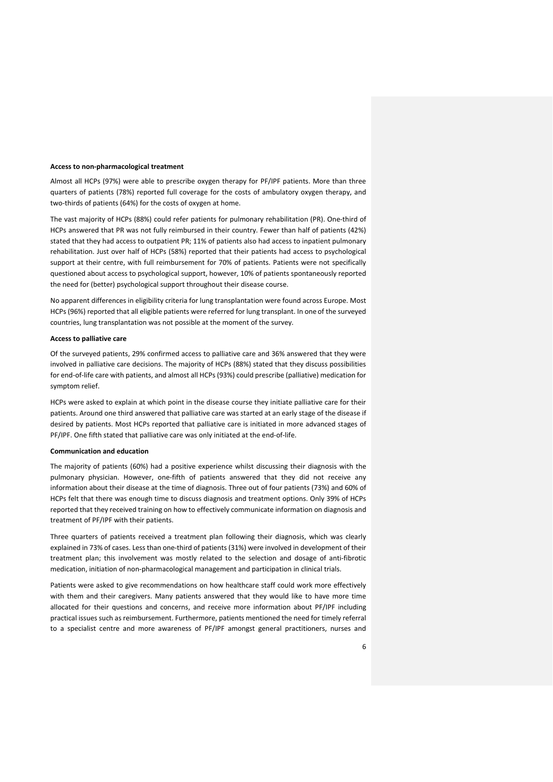## **Access to non-pharmacological treatment**

Almost all HCPs (97%) were able to prescribe oxygen therapy for PF/IPF patients. More than three quarters of patients (78%) reported full coverage for the costs of ambulatory oxygen therapy, and two-thirds of patients (64%) for the costs of oxygen at home.

The vast majority of HCPs (88%) could refer patients for pulmonary rehabilitation (PR). One-third of HCPs answered that PR was not fully reimbursed in their country. Fewer than half of patients (42%) stated that they had access to outpatient PR; 11% of patients also had access to inpatient pulmonary rehabilitation. Just over half of HCPs (58%) reported that their patients had access to psychological support at their centre, with full reimbursement for 70% of patients. Patients were not specifically questioned about access to psychological support, however, 10% of patients spontaneously reported the need for (better) psychological support throughout their disease course.

No apparent differences in eligibility criteria for lung transplantation were found across Europe. Most HCPs (96%) reported that all eligible patients were referred for lung transplant. In one of the surveyed countries, lung transplantation was not possible at the moment of the survey.

## **Access to palliative care**

Of the surveyed patients, 29% confirmed access to palliative care and 36% answered that they were involved in palliative care decisions. The majority of HCPs (88%) stated that they discuss possibilities for end-of-life care with patients, and almost all HCPs (93%) could prescribe (palliative) medication for symptom relief.

HCPs were asked to explain at which point in the disease course they initiate palliative care for their patients. Around one third answered that palliative care was started at an early stage of the disease if desired by patients. Most HCPs reported that palliative care is initiated in more advanced stages of PF/IPF. One fifth stated that palliative care was only initiated at the end-of-life.

## **Communication and education**

The majority of patients (60%) had a positive experience whilst discussing their diagnosis with the pulmonary physician. However, one-fifth of patients answered that they did not receive any information about their disease at the time of diagnosis. Three out of four patients (73%) and 60% of HCPs felt that there was enough time to discuss diagnosis and treatment options. Only 39% of HCPs reported that they received training on how to effectively communicate information on diagnosis and treatment of PF/IPF with their patients.

Three quarters of patients received a treatment plan following their diagnosis, which was clearly explained in 73% of cases. Less than one-third of patients (31%) were involved in development of their treatment plan; this involvement was mostly related to the selection and dosage of anti-fibrotic medication, initiation of non-pharmacological management and participation in clinical trials.

Patients were asked to give recommendations on how healthcare staff could work more effectively with them and their caregivers. Many patients answered that they would like to have more time allocated for their questions and concerns, and receive more information about PF/IPF including practical issues such as reimbursement. Furthermore, patients mentioned the need for timely referral to a specialist centre and more awareness of PF/IPF amongst general practitioners, nurses and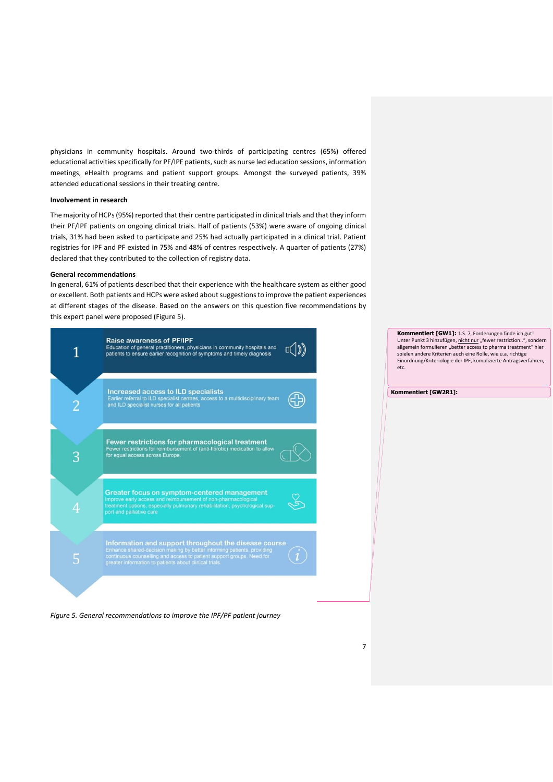physicians in community hospitals. Around two-thirds of participating centres (65%) offered educational activities specifically for PF/IPF patients, such as nurse led education sessions, information meetings, eHealth programs and patient support groups. Amongst the surveyed patients, 39% attended educational sessions in their treating centre.

## **Involvement in research**

The majority of HCPs (95%) reported that their centre participated in clinical trials and that they inform their PF/IPF patients on ongoing clinical trials. Half of patients (53%) were aware of ongoing clinical trials, 31% had been asked to participate and 25% had actually participated in a clinical trial. Patient registries for IPF and PF existed in 75% and 48% of centres respectively. A quarter of patients (27%) declared that they contributed to the collection of registry data.

## **General recommendations**

In general, 61% of patients described that their experience with the healthcare system as either good or excellent. Both patients and HCPs were asked about suggestions to improve the patient experiences at different stages of the disease. Based on the answers on this question five recommendations by this expert panel were proposed (Figure 5).



*Figure 5. General recommendations to improve the IPF/PF patient journey*

**Kommentiert [GW1]:** 1.S. 7, Forderungen finde ich gut! Unter Punkt 3 hinzufügen, nicht nur "fewer restriction..", sondern allgemein formulieren "better access to pharma treatment" hier spielen andere Kriterien auch eine Rolle, wie u.a. richtige Einordnung/Kriteriologie der IPF, komplizierte Antragsverfahren, etc.

**Kommentiert [GW2R1]:**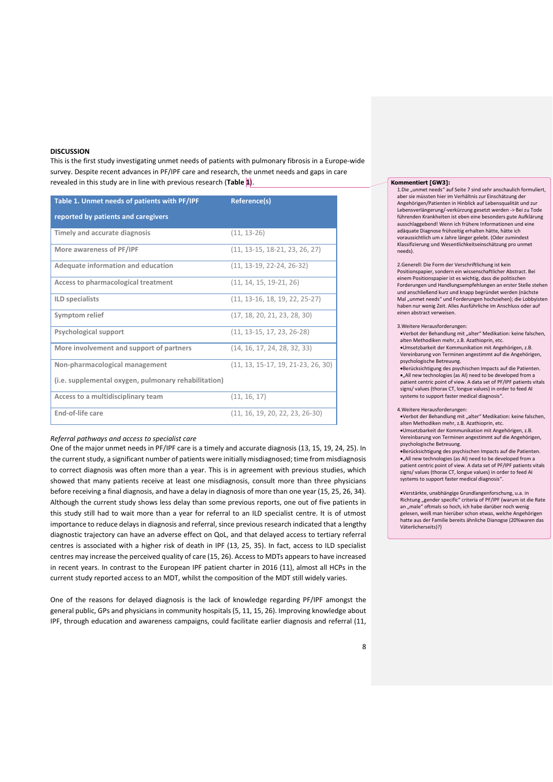### **DISCUSSION**

This is the first study investigating unmet needs of patients with pulmonary fibrosis in a Europe-wide survey. Despite recent advances in PF/IPF care and research, the unmet needs and gaps in care revealed in this study are in line with previous research (**Table 1**).

| Table 1. Unmet needs of patients with PF/IPF         | Reference(s)                         |
|------------------------------------------------------|--------------------------------------|
| reported by patients and caregivers                  |                                      |
| Timely and accurate diagnosis                        | $(11, 13-26)$                        |
| More awareness of PF/IPF                             | $(11, 13-15, 18-21, 23, 26, 27)$     |
| Adequate information and education                   | $(11, 13-19, 22-24, 26-32)$          |
| Access to pharmacological treatment                  | $(11, 14, 15, 19-21, 26)$            |
| <b>ILD</b> specialists                               | $(11. 13-16. 18. 19. 22. 25-27)$     |
| Symptom relief                                       | (17, 18, 20, 21, 23, 28, 30)         |
| Psychological support                                | (11. 13-15. 17. 23. 26-28)           |
| More involvement and support of partners             | (14, 16, 17, 24, 28, 32, 33)         |
| Non-pharmacological management                       | $(11, 13, 15-17, 19, 21-23, 26, 30)$ |
| (i.e. supplemental oxygen, pulmonary rehabilitation) |                                      |
| Access to a multidisciplinary team                   | (11, 16, 17)                         |
| End-of-life care                                     | $(11, 16, 19, 20, 22, 23, 26-30)$    |

## *Referral pathways and access to specialist care*

One of the major unmet needs in PF/IPF care is a timely and accurate diagnosis (13, 15, 19, 24, 25). In the current study, a significant number of patients were initially misdiagnosed; time from misdiagnosis to correct diagnosis was often more than a year. This is in agreement with previous studies, which showed that many patients receive at least one misdiagnosis, consult more than three physicians before receiving a final diagnosis, and have a delay in diagnosis of more than one year (15, 25, 26, 34). Although the current study shows less delay than some previous reports, one out of five patients in this study still had to wait more than a year for referral to an ILD specialist centre. It is of utmost importance to reduce delays in diagnosis and referral, since previous research indicated that a lengthy diagnostic trajectory can have an adverse effect on QoL, and that delayed access to tertiary referral centres is associated with a higher risk of death in IPF (13, 25, 35). In fact, access to ILD specialist centres may increase the perceived quality of care (15, 26). Access to MDTs appears to have increased in recent years. In contrast to the European IPF patient charter in 2016 (11), almost all HCPs in the current study reported access to an MDT, whilst the composition of the MDT still widely varies.

One of the reasons for delayed diagnosis is the lack of knowledge regarding PF/IPF amongst the general public, GPs and physicians in community hospitals (5, 11, 15, 26). Improving knowledge about IPF, through education and awareness campaigns, could facilitate earlier diagnosis and referral (11,

#### **Kommentiert [GW3]:**

1.Die "unmet needs" auf Seite 7 sind sehr anschaulich formuliert, aber sie müssten hier im Verhältnis zur Einschätzung der Angehörigen/Patienten in Hinblick auf Lebensqualität und zur Lebensverlängerung/-verkürzung gesetzt werden -> Bei zu Tode führenden Krankheiten ist eben eine besonders gute Aufklärung ausschlaggebend! Wenn ich frühere Informationen und eine adäquate Diagnose frühzeitig erhalten hätte, hätte ich voraussichtlich um x Jahre länger gelebt. (Oder zumindest Klassifizierung und Wesentlichkeitseinschätzung pro unmet needs).

2.Generell: Die Form der Verschriftlichung ist kein Positionspapier, sondern ein wissenschaftlicher Abstract. Bei einem Positionspapier ist es wichtig, dass die politischen Forderungen und Handlungsempfehlungen an erster Stelle stehen und anschließend kurz und knapp begründet werden (nächste Mal "unmet needs" und Forderungen hochziehen); die Lobbyisten haben nur wenig Zeit. Alles Ausführliche im Anschluss oder auf einen abstract verweisen.

#### 3.Weitere Herausforderungen:

- •Verbot der Behandlung mit "alter" Medikation: keine falschen, alten Methodiken mehr, z.B. Azathioprin, etc.
- •Umsetzbarkeit der Kommunikation mit Angehörigen, z.B. Vereinbarung von Terminen angestimmt auf die Angehörigen, psychologische Betreuung.

•Berücksichtigung des psychischen Impacts auf die Patienten. •"All new technologies (as AI) need to be developed from a patient centric point of view. A data set of PF/IPF patients vitals signs/ values (thorax CT, longue values) in order to feed AI systems to support faster medical diagnosis".

#### 4.Weitere Herausforderungen:

•Verbot der Behandlung mit "alter" Medikation: keine falschen, alten Methodiken mehr, z.B. Azathioprin, etc. •Umsetzbarkeit der Kommunikation mit Angehörigen, z.B. Vereinbarung von Terminen angestimmt auf die Angehörigen, psychologische Betreuung.

•Berücksichtigung des psychischen Impacts auf die Patienten. •"All new technologies (as AI) need to be developed from a patient centric point of view. A data set of PF/IPF patients vitals signs/ values (thorax CT, longue values) in order to feed AI systems to support faster medical diagnosis".

•Verstärkte, unabhängige Grundlangenforschung, u.a. in Richtung "gender specific" criteria of PF/IPF (warum ist die Rate an "male" oftmals so hoch, ich habe darüber noch wenig gelesen, weiß man hierüber schon etwas, welche Angehörigen hatte aus der Familie bereits ähnliche Dianogse (20%waren das Väterlicherseits)?)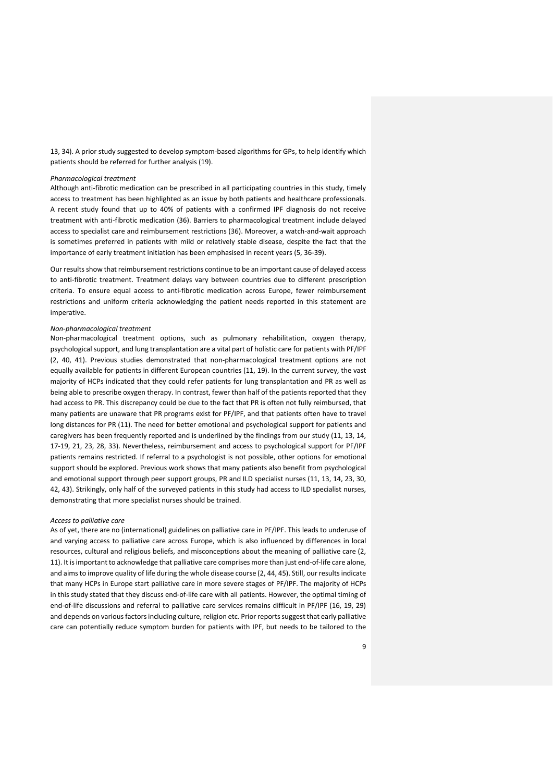13, 34). A prior study suggested to develop symptom-based algorithms for GPs, to help identify which patients should be referred for further analysis (19).

## *Pharmacological treatment*

Although anti-fibrotic medication can be prescribed in all participating countries in this study, timely access to treatment has been highlighted as an issue by both patients and healthcare professionals. A recent study found that up to 40% of patients with a confirmed IPF diagnosis do not receive treatment with anti-fibrotic medication (36). Barriers to pharmacological treatment include delayed access to specialist care and reimbursement restrictions (36). Moreover, a watch-and-wait approach is sometimes preferred in patients with mild or relatively stable disease, despite the fact that the importance of early treatment initiation has been emphasised in recent years (5, 36-39).

Our results show that reimbursement restrictions continue to be an important cause of delayed access to anti-fibrotic treatment. Treatment delays vary between countries due to different prescription criteria. To ensure equal access to anti-fibrotic medication across Europe, fewer reimbursement restrictions and uniform criteria acknowledging the patient needs reported in this statement are imperative.

## *Non-pharmacological treatment*

Non-pharmacological treatment options, such as pulmonary rehabilitation, oxygen therapy, psychological support, and lung transplantation are a vital part of holistic care for patients with PF/IPF (2, 40, 41). Previous studies demonstrated that non-pharmacological treatment options are not equally available for patients in different European countries (11, 19). In the current survey, the vast majority of HCPs indicated that they could refer patients for lung transplantation and PR as well as being able to prescribe oxygen therapy. In contrast, fewer than half of the patients reported that they had access to PR. This discrepancy could be due to the fact that PR is often not fully reimbursed, that many patients are unaware that PR programs exist for PF/IPF, and that patients often have to travel long distances for PR (11). The need for better emotional and psychological support for patients and caregivers has been frequently reported and is underlined by the findings from our study (11, 13, 14, 17-19, 21, 23, 28, 33). Nevertheless, reimbursement and access to psychological support for PF/IPF patients remains restricted. If referral to a psychologist is not possible, other options for emotional support should be explored. Previous work shows that many patients also benefit from psychological and emotional support through peer support groups, PR and ILD specialist nurses (11, 13, 14, 23, 30, 42, 43). Strikingly, only half of the surveyed patients in this study had access to ILD specialist nurses, demonstrating that more specialist nurses should be trained.

#### *Access to palliative care*

As of yet, there are no (international) guidelines on palliative care in PF/IPF. This leads to underuse of and varying access to palliative care across Europe, which is also influenced by differences in local resources, cultural and religious beliefs, and misconceptions about the meaning of palliative care (2, 11). It is important to acknowledge that palliative care comprises more than just end-of-life care alone, and aims to improve quality of life during the whole disease course (2, 44, 45). Still, our results indicate that many HCPs in Europe start palliative care in more severe stages of PF/IPF. The majority of HCPs in this study stated that they discuss end-of-life care with all patients. However, the optimal timing of end-of-life discussions and referral to palliative care services remains difficult in PF/IPF (16, 19, 29) and depends on various factors including culture, religion etc. Prior reportssuggest that early palliative care can potentially reduce symptom burden for patients with IPF, but needs to be tailored to the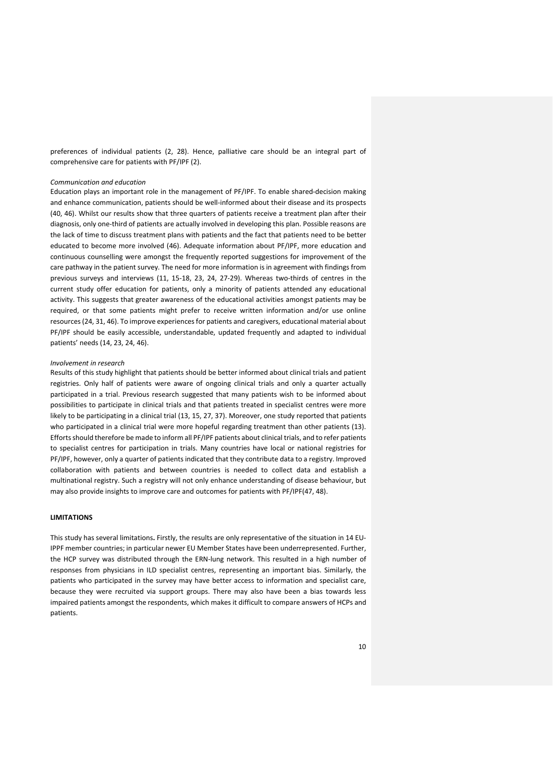preferences of individual patients (2, 28). Hence, palliative care should be an integral part of comprehensive care for patients with PF/IPF (2).

### *Communication and education*

Education plays an important role in the management of PF/IPF. To enable shared-decision making and enhance communication, patients should be well-informed about their disease and its prospects (40, 46). Whilst our results show that three quarters of patients receive a treatment plan after their diagnosis, only one-third of patients are actually involved in developing this plan. Possible reasons are the lack of time to discuss treatment plans with patients and the fact that patients need to be better educated to become more involved (46). Adequate information about PF/IPF, more education and continuous counselling were amongst the frequently reported suggestions for improvement of the care pathway in the patient survey. The need for more information is in agreement with findings from previous surveys and interviews (11, 15-18, 23, 24, 27-29). Whereas two-thirds of centres in the current study offer education for patients, only a minority of patients attended any educational activity. This suggests that greater awareness of the educational activities amongst patients may be required, or that some patients might prefer to receive written information and/or use online resources(24, 31, 46). To improve experiences for patients and caregivers, educational material about PF/IPF should be easily accessible, understandable, updated frequently and adapted to individual patients' needs (14, 23, 24, 46).

## *Involvement in research*

Results of this study highlight that patients should be better informed about clinical trials and patient registries. Only half of patients were aware of ongoing clinical trials and only a quarter actually participated in a trial. Previous research suggested that many patients wish to be informed about possibilities to participate in clinical trials and that patients treated in specialist centres were more likely to be participating in a clinical trial (13, 15, 27, 37). Moreover, one study reported that patients who participated in a clinical trial were more hopeful regarding treatment than other patients (13). Efforts should therefore be made to inform all PF/IPF patients about clinical trials, and to refer patients to specialist centres for participation in trials. Many countries have local or national registries for PF/IPF, however, only a quarter of patients indicated that they contribute data to a registry. Improved collaboration with patients and between countries is needed to collect data and establish a multinational registry. Such a registry will not only enhance understanding of disease behaviour, but may also provide insights to improve care and outcomes for patients with PF/IPF(47, 48).

## **LIMITATIONS**

This study has several limitations**.** Firstly, the results are only representative of the situation in 14 EU-IPPF member countries; in particular newer EU Member States have been underrepresented. Further, the HCP survey was distributed through the ERN-lung network. This resulted in a high number of responses from physicians in ILD specialist centres, representing an important bias. Similarly, the patients who participated in the survey may have better access to information and specialist care, because they were recruited via support groups. There may also have been a bias towards less impaired patients amongst the respondents, which makes it difficult to compare answers of HCPs and patients.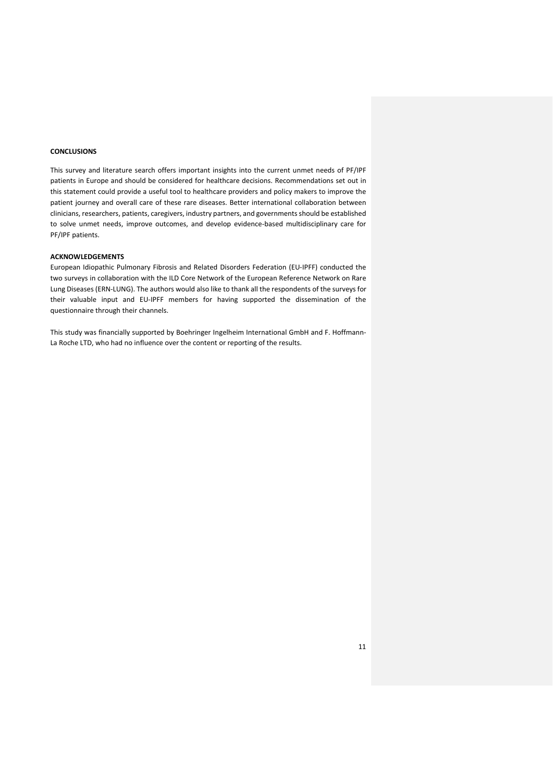## **CONCLUSIONS**

This survey and literature search offers important insights into the current unmet needs of PF/IPF patients in Europe and should be considered for healthcare decisions. Recommendations set out in this statement could provide a useful tool to healthcare providers and policy makers to improve the patient journey and overall care of these rare diseases. Better international collaboration between clinicians, researchers, patients, caregivers, industry partners, and governments should be established to solve unmet needs, improve outcomes, and develop evidence-based multidisciplinary care for PF/IPF patients.

## **ACKNOWLEDGEMENTS**

European Idiopathic Pulmonary Fibrosis and Related Disorders Federation (EU-IPFF) conducted the two surveys in collaboration with the ILD Core Network of the European Reference Network on Rare Lung Diseases (ERN-LUNG). The authors would also like to thank all the respondents of the surveys for their valuable input and EU-IPFF members for having supported the dissemination of the questionnaire through their channels.

This study was financially supported by Boehringer Ingelheim International GmbH and F. Hoffmann-La Roche LTD, who had no influence over the content or reporting of the results.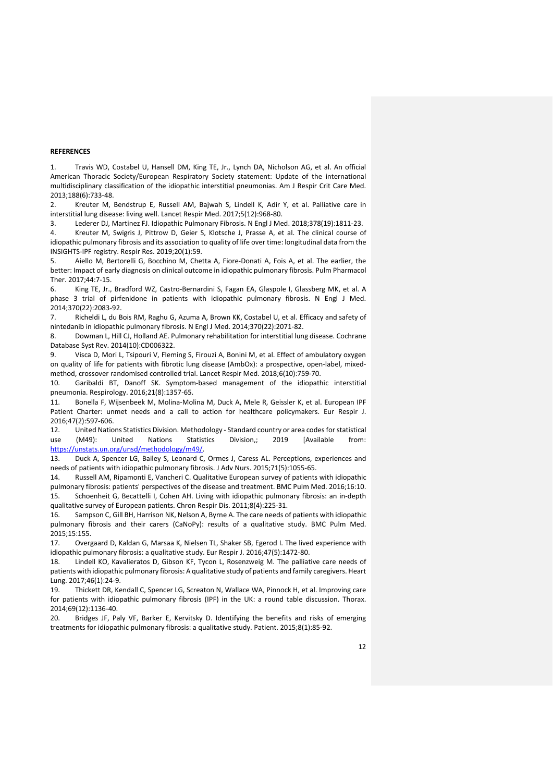## **REFERENCES**

1. Travis WD, Costabel U, Hansell DM, King TE, Jr., Lynch DA, Nicholson AG, et al. An official American Thoracic Society/European Respiratory Society statement: Update of the international multidisciplinary classification of the idiopathic interstitial pneumonias. Am J Respir Crit Care Med. 2013;188(6):733-48.

2. Kreuter M, Bendstrup E, Russell AM, Bajwah S, Lindell K, Adir Y, et al. Palliative care in interstitial lung disease: living well. Lancet Respir Med. 2017;5(12):968-80.

3. Lederer DJ, Martinez FJ. Idiopathic Pulmonary Fibrosis. N Engl J Med. 2018;378(19):1811-23.

4. Kreuter M, Swigris J, Pittrow D, Geier S, Klotsche J, Prasse A, et al. The clinical course of idiopathic pulmonary fibrosis and its association to quality of life over time: longitudinal data from the INSIGHTS-IPF registry. Respir Res. 2019;20(1):59.

5. Aiello M, Bertorelli G, Bocchino M, Chetta A, Fiore-Donati A, Fois A, et al. The earlier, the better: Impact of early diagnosis on clinical outcome in idiopathic pulmonary fibrosis. Pulm Pharmacol Ther. 2017;44:7-15.

6. King TE, Jr., Bradford WZ, Castro-Bernardini S, Fagan EA, Glaspole I, Glassberg MK, et al. A phase 3 trial of pirfenidone in patients with idiopathic pulmonary fibrosis. N Engl J Med. 2014;370(22):2083-92.

7. Richeldi L, du Bois RM, Raghu G, Azuma A, Brown KK, Costabel U, et al. Efficacy and safety of nintedanib in idiopathic pulmonary fibrosis. N Engl J Med. 2014;370(22):2071-82.

8. Dowman L, Hill CJ, Holland AE. Pulmonary rehabilitation for interstitial lung disease. Cochrane Database Syst Rev. 2014(10):CD006322.

9. Visca D, Mori L, Tsipouri V, Fleming S, Firouzi A, Bonini M, et al. Effect of ambulatory oxygen on quality of life for patients with fibrotic lung disease (AmbOx): a prospective, open-label, mixedmethod, crossover randomised controlled trial. Lancet Respir Med. 2018;6(10):759-70.

10. Garibaldi BT, Danoff SK. Symptom-based management of the idiopathic interstitial pneumonia. Respirology. 2016;21(8):1357-65.

11. Bonella F, Wijsenbeek M, Molina-Molina M, Duck A, Mele R, Geissler K, et al. European IPF Patient Charter: unmet needs and a call to action for healthcare policymakers. Eur Respir J. 2016;47(2):597-606.

12. United Nations Statistics Division. Methodology - Standard country or area codes for statistical use (M49): United Nations Statistics Division,; 2019 [Available from: [https://unstats.un.org/unsd/methodology/m49/.](https://unstats.un.org/unsd/methodology/m49/)

13. Duck A, Spencer LG, Bailey S, Leonard C, Ormes J, Caress AL. Perceptions, experiences and needs of patients with idiopathic pulmonary fibrosis. J Adv Nurs. 2015;71(5):1055-65.

14. Russell AM, Ripamonti E, Vancheri C. Qualitative European survey of patients with idiopathic pulmonary fibrosis: patients' perspectives of the disease and treatment. BMC Pulm Med. 2016;16:10. 15. Schoenheit G, Becattelli I, Cohen AH. Living with idiopathic pulmonary fibrosis: an in-depth qualitative survey of European patients. Chron Respir Dis. 2011;8(4):225-31.

16. Sampson C, Gill BH, Harrison NK, Nelson A, Byrne A. The care needs of patients with idiopathic pulmonary fibrosis and their carers (CaNoPy): results of a qualitative study. BMC Pulm Med. 2015;15:155.

17. Overgaard D, Kaldan G, Marsaa K, Nielsen TL, Shaker SB, Egerod I. The lived experience with idiopathic pulmonary fibrosis: a qualitative study. Eur Respir J. 2016;47(5):1472-80.

18. Lindell KO, Kavalieratos D, Gibson KF, Tycon L, Rosenzweig M. The palliative care needs of patients with idiopathic pulmonary fibrosis: A qualitative study of patients and family caregivers. Heart Lung. 2017;46(1):24-9.

19. Thickett DR, Kendall C, Spencer LG, Screaton N, Wallace WA, Pinnock H, et al. Improving care for patients with idiopathic pulmonary fibrosis (IPF) in the UK: a round table discussion. Thorax. 2014;69(12):1136-40.

20. Bridges JF, Paly VF, Barker E, Kervitsky D. Identifying the benefits and risks of emerging treatments for idiopathic pulmonary fibrosis: a qualitative study. Patient. 2015;8(1):85-92.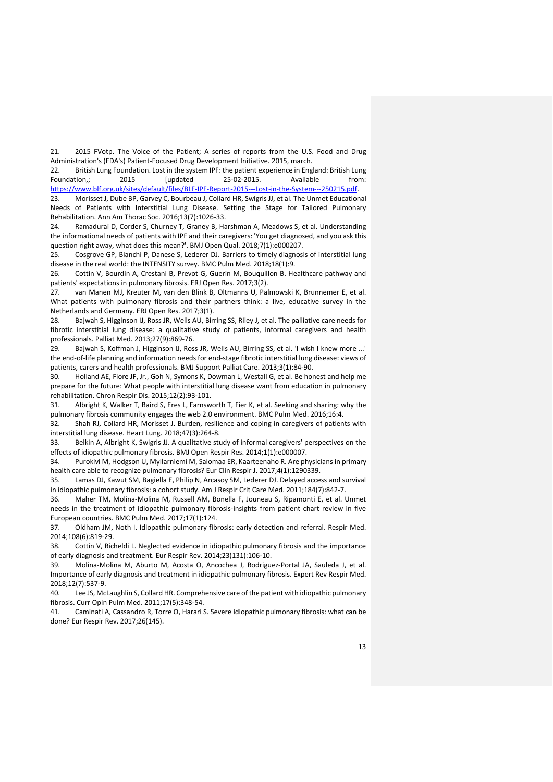21. 2015 FVotp. The Voice of the Patient; A series of reports from the U.S. Food and Drug Administration's (FDA's) Patient-Focused Drug Development Initiative. 2015, march.

22. British Lung Foundation. Lost in the system IPF: the patient experience in England: British Lung Foundation,; 2015 [updated 25-02-2015. Available from: [https://www.blf.org.uk/sites/default/files/BLF-IPF-Report-2015---Lost-in-the-System---250215.pdf.](https://www.blf.org.uk/sites/default/files/BLF-IPF-Report-2015---Lost-in-the-System---250215.pdf)

23. Morisset J, Dube BP, Garvey C, Bourbeau J, Collard HR, Swigris JJ, et al. The Unmet Educational Needs of Patients with Interstitial Lung Disease. Setting the Stage for Tailored Pulmonary Rehabilitation. Ann Am Thorac Soc. 2016;13(7):1026-33.

Ramadurai D, Corder S, Churney T, Graney B, Harshman A, Meadows S, et al. Understanding the informational needs of patients with IPF and their caregivers: 'You get diagnosed, and you ask this question right away, what does this mean?'. BMJ Open Qual. 2018;7(1):e000207.

25. Cosgrove GP, Bianchi P, Danese S, Lederer DJ. Barriers to timely diagnosis of interstitial lung disease in the real world: the INTENSITY survey. BMC Pulm Med. 2018;18(1):9.

26. Cottin V, Bourdin A, Crestani B, Prevot G, Guerin M, Bouquillon B. Healthcare pathway and patients' expectations in pulmonary fibrosis. ERJ Open Res. 2017;3(2).

27. van Manen MJ, Kreuter M, van den Blink B, Oltmanns U, Palmowski K, Brunnemer E, et al. What patients with pulmonary fibrosis and their partners think: a live, educative survey in the Netherlands and Germany. ERJ Open Res. 2017;3(1).

28. Bajwah S, Higginson IJ, Ross JR, Wells AU, Birring SS, Riley J, et al. The palliative care needs for fibrotic interstitial lung disease: a qualitative study of patients, informal caregivers and health professionals. Palliat Med. 2013;27(9):869-76.

29. Bajwah S, Koffman J, Higginson IJ, Ross JR, Wells AU, Birring SS, et al. 'I wish I knew more ...' the end-of-life planning and information needs for end-stage fibrotic interstitial lung disease: views of patients, carers and health professionals. BMJ Support Palliat Care. 2013;3(1):84-90.

30. Holland AE, Fiore JF, Jr., Goh N, Symons K, Dowman L, Westall G, et al. Be honest and help me prepare for the future: What people with interstitial lung disease want from education in pulmonary rehabilitation. Chron Respir Dis. 2015;12(2):93-101.

31. Albright K, Walker T, Baird S, Eres L, Farnsworth T, Fier K, et al. Seeking and sharing: why the pulmonary fibrosis community engages the web 2.0 environment. BMC Pulm Med. 2016;16:4.

32. Shah RJ, Collard HR, Morisset J. Burden, resilience and coping in caregivers of patients with interstitial lung disease. Heart Lung. 2018;47(3):264-8.

33. Belkin A, Albright K, Swigris JJ. A qualitative study of informal caregivers' perspectives on the effects of idiopathic pulmonary fibrosis. BMJ Open Respir Res. 2014;1(1):e000007.

34. Purokivi M, Hodgson U, Myllarniemi M, Salomaa ER, Kaarteenaho R. Are physicians in primary health care able to recognize pulmonary fibrosis? Eur Clin Respir J. 2017;4(1):1290339.

35. Lamas DJ, Kawut SM, Bagiella E, Philip N, Arcasoy SM, Lederer DJ. Delayed access and survival in idiopathic pulmonary fibrosis: a cohort study. Am J Respir Crit Care Med. 2011;184(7):842-7.

36. Maher TM, Molina-Molina M, Russell AM, Bonella F, Jouneau S, Ripamonti E, et al. Unmet needs in the treatment of idiopathic pulmonary fibrosis-insights from patient chart review in five European countries. BMC Pulm Med. 2017;17(1):124.

37. Oldham JM, Noth I. Idiopathic pulmonary fibrosis: early detection and referral. Respir Med. 2014;108(6):819-29.

38. Cottin V, Richeldi L. Neglected evidence in idiopathic pulmonary fibrosis and the importance of early diagnosis and treatment. Eur Respir Rev. 2014;23(131):106-10.

39. Molina-Molina M, Aburto M, Acosta O, Ancochea J, Rodriguez-Portal JA, Sauleda J, et al. Importance of early diagnosis and treatment in idiopathic pulmonary fibrosis. Expert Rev Respir Med. 2018;12(7):537-9.

40. Lee JS, McLaughlin S, Collard HR. Comprehensive care of the patient with idiopathic pulmonary fibrosis. Curr Opin Pulm Med. 2011;17(5):348-54.

41. Caminati A, Cassandro R, Torre O, Harari S. Severe idiopathic pulmonary fibrosis: what can be done? Eur Respir Rev. 2017;26(145).